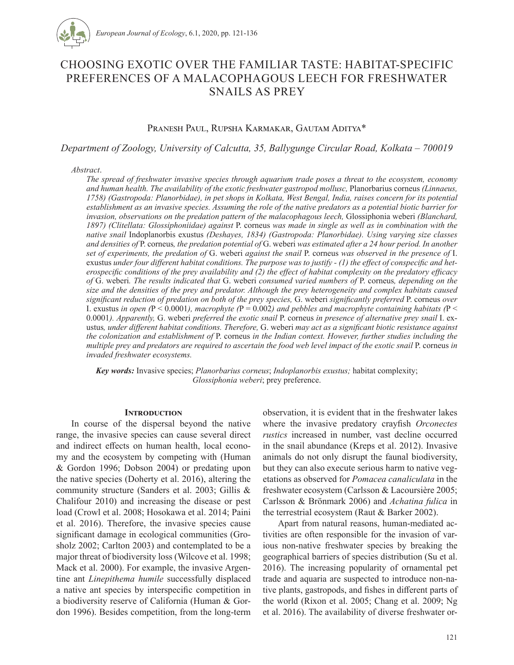

# CHOOSING EXOTIC OVER THE FAMILIAR TASTE: HABITAT-SPECIFIC PREFERENCES OF A MALACOPHAGOUS LEECH FOR FRESHWATER SNAILS AS PREY

# Pranesh Paul, Rupsha Karmakar, Gautam Aditya\*

*Department of Zoology, University of Calcutta, 35, Ballygunge Circular Road, Kolkata – 700019*

*Abstract*.

*The spread of freshwater invasive species through aquarium trade poses a threat to the ecosystem, economy and human health. The availability of the exotic freshwater gastropod mollusc,* Planorbarius corneus *(Linnaeus, 1758) (Gastropoda: Planorbidae), in pet shops in Kolkata, West Bengal, India, raises concern for its potential establishment as an invasive species. Assuming the role of the native predators as a potential biotic barrier for invasion, observations on the predation pattern of the malacophagous leech,* Glossiphonia weberi *(Blanchard, 1897) (Clitellata: Glossiphoniidae) against* P. corneus *was made in single as well as in combination with the native snail* Indoplanorbis exustus *(Deshayes, 1834) (Gastropoda: Planorbidae). Using varying size classes and densities of* P. corneus*, the predation potential of* G. weberi *was estimated after a 24 hour period. In another set of experiments, the predation of* G. weberi *against the snail* P. corneus *was observed in the presence of* I. exustus *under four different habitat conditions. The purpose was to justify - (1) the effect of conspecific and heterospecific conditions of the prey availability and (2) the effect of habitat complexity on the predatory efficacy of* G. weberi*. The results indicated that* G. weberi *consumed varied numbers of* P. corneus*, depending on the size and the densities of the prey and predator. Although the prey heterogeneity and complex habitats caused significant reduction of predation on both of the prey species,* G. weberi *significantly preferred* P. corneus *over*  I. exustus *in open (*P < 0.0001*), macrophyte (*P = 0.002*) and pebbles and macrophyte containing habitats (*P < 0.0001*). Apparently,* G. weberi *preferred the exotic snail* P. corneus *in presence of alternative prey snail* I. exustus*, under different habitat conditions. Therefore,* G. weberi *may act as a significant biotic resistance against the colonization and establishment of* P. corneus *in the Indian context. However, further studies including the multiple prey and predators are required to ascertain the food web level impact of the exotic snail P. corneus in invaded freshwater ecosystems.* 

*Key words:* Invasive species; *Planorbarius corneus*; *Indoplanorbis exustus;* habitat complexity; *Glossiphonia weberi*; prey preference.

## **Introduction**

In course of the dispersal beyond the native range, the invasive species can cause several direct and indirect effects on human health, local economy and the ecosystem by competing with (Human & Gordon 1996; Dobson 2004) or predating upon the native species (Doherty et al. 2016), altering the community structure (Sanders et al. 2003; Gillis & Chalifour 2010) and increasing the disease or pest load (Crowl et al. 2008; Hosokawa et al. 2014; Paini et al. 2016). Therefore, the invasive species cause significant damage in ecological communities (Grosholz 2002; Carlton 2003) and contemplated to be a major threat of biodiversity loss (Wilcove et al. 1998; Mack et al. 2000). For example, the invasive Argentine ant *Linepithema humile* successfully displaced a native ant species by interspecific competition in a biodiversity reserve of California (Human & Gordon 1996). Besides competition, from the long-term observation, it is evident that in the freshwater lakes where the invasive predatory crayfish *Orconectes rustics* increased in number, vast decline occurred in the snail abundance (Kreps et al. 2012). Invasive animals do not only disrupt the faunal biodiversity, but they can also execute serious harm to native vegetations as observed for *Pomacea canaliculata* in the freshwater ecosystem (Carlsson & Lacoursière 2005; Carlsson & Brönmark 2006) and *Achatina fulica* in the terrestrial ecosystem (Raut & Barker 2002).

Apart from natural reasons, human-mediated activities are often responsible for the invasion of various non-native freshwater species by breaking the geographical barriers of species distribution (Su et al. 2016). The increasing popularity of ornamental pet trade and aquaria are suspected to introduce non-native plants, gastropods, and fishes in different parts of the world (Rixon et al. 2005; Chang et al. 2009; Ng et al. 2016). The availability of diverse freshwater or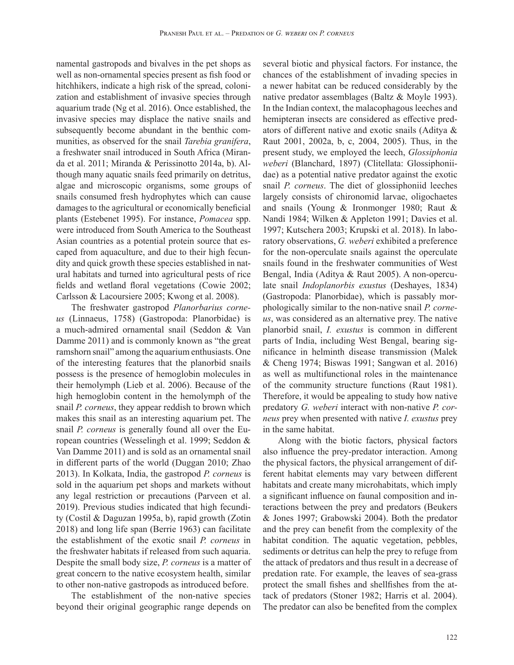namental gastropods and bivalves in the pet shops as well as non-ornamental species present as fish food or hitchhikers, indicate a high risk of the spread, colonization and establishment of invasive species through aquarium trade (Ng et al. 2016). Once established, the invasive species may displace the native snails and subsequently become abundant in the benthic communities, as observed for the snail *Tarebia granifera*, a freshwater snail introduced in South Africa (Miranda et al. 2011; Miranda & Perissinotto 2014a, b). Although many aquatic snails feed primarily on detritus, algae and microscopic organisms, some groups of snails consumed fresh hydrophytes which can cause damages to the agricultural or economically beneficial plants (Estebenet 1995). For instance, *Pomacea* spp. were introduced from South America to the Southeast Asian countries as a potential protein source that escaped from aquaculture, and due to their high fecundity and quick growth these species established in natural habitats and turned into agricultural pests of rice fields and wetland floral vegetations (Cowie 2002; Carlsson & Lacoursiere 2005; Kwong et al. 2008).

The freshwater gastropod *Planorbarius corneus* (Linnaeus, 1758) (Gastropoda: Planorbidae) is a much-admired ornamental snail (Seddon & Van Damme 2011) and is commonly known as "the great ramshorn snail" among the aquarium enthusiasts. One of the interesting features that the planorbid snails possess is the presence of hemoglobin molecules in their hemolymph (Lieb et al. 2006). Because of the high hemoglobin content in the hemolymph of the snail *P. corneus*, they appear reddish to brown which makes this snail as an interesting aquarium pet. The snail *P. corneus* is generally found all over the European countries (Wesselingh et al. 1999; Seddon & Van Damme 2011) and is sold as an ornamental snail in different parts of the world (Duggan 2010; Zhao 2013). In Kolkata, India, the gastropod *P. corneus* is sold in the aquarium pet shops and markets without any legal restriction or precautions (Parveen et al. 2019). Previous studies indicated that high fecundity (Costil & Daguzan 1995a, b), rapid growth (Zotin 2018) and long life span (Berrie 1963) can facilitate the establishment of the exotic snail *P. corneus* in the freshwater habitats if released from such aquaria. Despite the small body size, *P. corneus* is a matter of great concern to the native ecosystem health, similar to other non-native gastropods as introduced before.

The establishment of the non-native species beyond their original geographic range depends on several biotic and physical factors. For instance, the chances of the establishment of invading species in a newer habitat can be reduced considerably by the native predator assemblages (Baltz & Moyle 1993). In the Indian context, the malacophagous leeches and hemipteran insects are considered as effective predators of different native and exotic snails (Aditya & Raut 2001, 2002a, b, c, 2004, 2005). Thus, in the present study, we employed the leech, *Glossiphonia weberi* (Blanchard, 1897) (Clitellata: Glossiphoniidae) as a potential native predator against the exotic snail *P. corneus*. The diet of glossiphoniid leeches largely consists of chironomid larvae, oligochaetes and snails (Young & Ironmonger 1980; Raut & Nandi 1984; Wilken & Appleton 1991; Davies et al. 1997; Kutschera 2003; Krupski et al. 2018). In laboratory observations, *G. weberi* exhibited a preference for the non-operculate snails against the operculate snails found in the freshwater communities of West Bengal, India (Aditya & Raut 2005). A non-operculate snail *Indoplanorbis exustus* (Deshayes, 1834) (Gastropoda: Planorbidae), which is passably morphologically similar to the non-native snail *P. corneus*, was considered as an alternative prey. The native planorbid snail, *I. exustus* is common in different parts of India, including West Bengal, bearing significance in helminth disease transmission (Malek & Cheng 1974; Biswas 1991; Sangwan et al. 2016) as well as multifunctional roles in the maintenance of the community structure functions (Raut 1981). Therefore, it would be appealing to study how native predatory *G. weberi* interact with non-native *P. corneus* prey when presented with native *I. exustus* prey in the same habitat.

Along with the biotic factors, physical factors also influence the prey-predator interaction. Among the physical factors, the physical arrangement of different habitat elements may vary between different habitats and create many microhabitats, which imply a significant influence on faunal composition and interactions between the prey and predators (Beukers & Jones 1997; Grabowski 2004). Both the predator and the prey can benefit from the complexity of the habitat condition. The aquatic vegetation, pebbles, sediments or detritus can help the prey to refuge from the attack of predators and thus result in a decrease of predation rate. For example, the leaves of sea-grass protect the small fishes and shellfishes from the attack of predators (Stoner 1982; Harris et al. 2004). The predator can also be benefited from the complex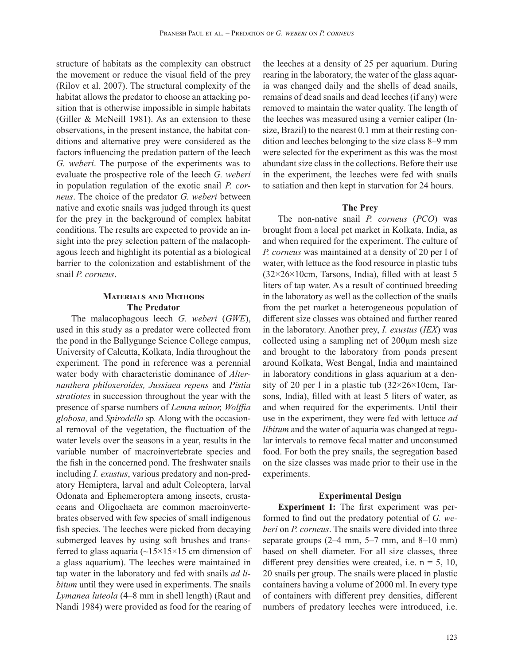structure of habitats as the complexity can obstruct the movement or reduce the visual field of the prey (Rilov et al. 2007). The structural complexity of the habitat allows the predator to choose an attacking position that is otherwise impossible in simple habitats (Giller & McNeill 1981). As an extension to these observations, in the present instance, the habitat conditions and alternative prey were considered as the factors influencing the predation pattern of the leech *G. weberi*. The purpose of the experiments was to evaluate the prospective role of the leech *G. weberi* in population regulation of the exotic snail *P. corneus*. The choice of the predator *G. weberi* between native and exotic snails was judged through its quest for the prey in the background of complex habitat conditions. The results are expected to provide an insight into the prey selection pattern of the malacophagous leech and highlight its potential as a biological barrier to the colonization and establishment of the snail *P. corneus*.

# **Materials and Methods The Predator**

The malacophagous leech *G. weberi* (*GWE*), used in this study as a predator were collected from the pond in the Ballygunge Science College campus, University of Calcutta, Kolkata, India throughout the experiment. The pond in reference was a perennial water body with characteristic dominance of *Alternanthera philoxeroides, Jussiaea repens* and *Pistia stratiotes* in succession throughout the year with the presence of sparse numbers of *Lemna minor, Wolffia globosa,* and *Spirodella* sp*.* Along with the occasional removal of the vegetation, the fluctuation of the water levels over the seasons in a year, results in the variable number of macroinvertebrate species and the fish in the concerned pond. The freshwater snails including *I. exustus*, various predatory and non-predatory Hemiptera, larval and adult Coleoptera, larval Odonata and Ephemeroptera among insects, crustaceans and Oligochaeta are common macroinvertebrates observed with few species of small indigenous fish species. The leeches were picked from decaying submerged leaves by using soft brushes and transferred to glass aquaria  $\left(\frac{15}{15}\right)$  = 15 cm dimension of a glass aquarium). The leeches were maintained in tap water in the laboratory and fed with snails *ad libitum* until they were used in experiments. The snails *Lymanea luteola* (4–8 mm in shell length) (Raut and Nandi 1984) were provided as food for the rearing of the leeches at a density of 25 per aquarium. During rearing in the laboratory, the water of the glass aquaria was changed daily and the shells of dead snails, remains of dead snails and dead leeches (if any) were removed to maintain the water quality. The length of the leeches was measured using a vernier caliper (Insize, Brazil) to the nearest 0.1 mm at their resting condition and leeches belonging to the size class 8–9 mm were selected for the experiment as this was the most abundant size class in the collections. Before their use in the experiment, the leeches were fed with snails to satiation and then kept in starvation for 24 hours.

## **The Prey**

The non-native snail *P. corneus* (*PCO*) was brought from a local pet market in Kolkata, India, as and when required for the experiment. The culture of *P. corneus* was maintained at a density of 20 per l of water, with lettuce as the food resource in plastic tubs  $(32\times26\times10$ cm, Tarsons, India), filled with at least 5 liters of tap water. As a result of continued breeding in the laboratory as well as the collection of the snails from the pet market a heterogeneous population of different size classes was obtained and further reared in the laboratory. Another prey, *I. exustus* (*IEX*) was collected using a sampling net of 200μm mesh size and brought to the laboratory from ponds present around Kolkata, West Bengal, India and maintained in laboratory conditions in glass aquarium at a density of 20 per 1 in a plastic tub  $(32\times26\times10$ cm, Tarsons, India), filled with at least 5 liters of water, as and when required for the experiments. Until their use in the experiment, they were fed with lettuce *ad libitum* and the water of aquaria was changed at regular intervals to remove fecal matter and unconsumed food. For both the prey snails, the segregation based on the size classes was made prior to their use in the experiments.

## **Experimental Design**

**Experiment I:** The first experiment was performed to find out the predatory potential of *G. weberi* on *P. corneus*. The snails were divided into three separate groups (2–4 mm, 5–7 mm, and 8–10 mm) based on shell diameter. For all size classes, three different prey densities were created, i.e.  $n = 5$ , 10, 20 snails per group. The snails were placed in plastic containers having a volume of 2000 ml. In every type of containers with different prey densities, different numbers of predatory leeches were introduced, i.e.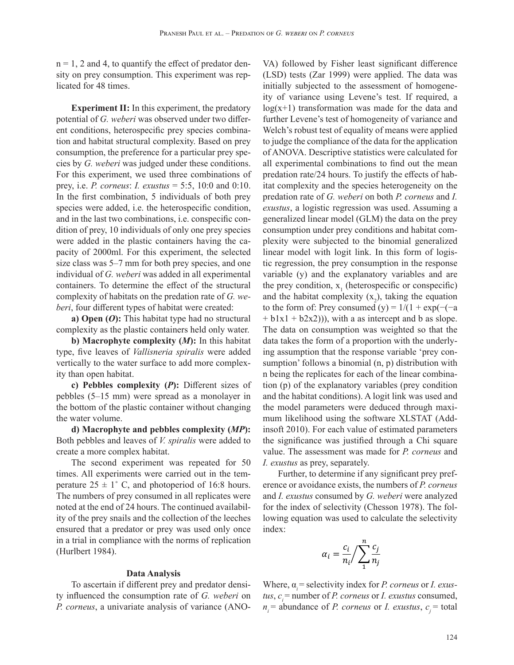$n = 1$ , 2 and 4, to quantify the effect of predator density on prey consumption. This experiment was replicated for 48 times.

**Experiment II:** In this experiment, the predatory potential of *G. weberi* was observed under two different conditions, heterospecific prey species combination and habitat structural complexity. Based on prey consumption, the preference for a particular prey species by *G. weberi* was judged under these conditions. For this experiment, we used three combinations of prey, i.e. *P. corneus*: *I. exustus* = 5:5, 10:0 and 0:10. In the first combination, 5 individuals of both prey species were added, i.e. the heterospecific condition, and in the last two combinations, i.e. conspecific condition of prey, 10 individuals of only one prey species were added in the plastic containers having the capacity of 2000ml. For this experiment, the selected size class was 5–7 mm for both prey species, and one individual of *G. weberi* was added in all experimental containers. To determine the effect of the structural complexity of habitats on the predation rate of *G. weberi*, four different types of habitat were created:

**a) Open (***O***):** This habitat type had no structural complexity as the plastic containers held only water.

**b) Macrophyte complexity (***M***):** In this habitat type, five leaves of *Vallisneria spiralis* were added vertically to the water surface to add more complexity than open habitat.

**c) Pebbles complexity (***P***):** Different sizes of pebbles (5–15 mm) were spread as a monolayer in the bottom of the plastic container without changing the water volume.

**d) Macrophyte and pebbles complexity (***MP***):**  Both pebbles and leaves of *V. spiralis* were added to create a more complex habitat.

The second experiment was repeated for 50 times. All experiments were carried out in the temperature  $25 \pm 1^{\circ}$  C, and photoperiod of 16:8 hours. The numbers of prey consumed in all replicates were noted at the end of 24 hours. The continued availability of the prey snails and the collection of the leeches ensured that a predator or prey was used only once in a trial in compliance with the norms of replication (Hurlbert 1984).

#### **Data Analysis**

To ascertain if different prey and predator density influenced the consumption rate of *G. weberi* on *P. corneus*, a univariate analysis of variance (ANO- VA) followed by Fisher least significant difference (LSD) tests (Zar 1999) were applied. The data was initially subjected to the assessment of homogeneity of variance using Levene's test. If required, a  $log(x+1)$  transformation was made for the data and further Levene's test of homogeneity of variance and Welch's robust test of equality of means were applied to judge the compliance of the data for the application of ANOVA. Descriptive statistics were calculated for all experimental combinations to find out the mean predation rate/24 hours. To justify the effects of habitat complexity and the species heterogeneity on the predation rate of *G. weberi* on both *P. corneus* and *I. exustus*, a logistic regression was used. Assuming a generalized linear model (GLM) the data on the prey consumption under prey conditions and habitat complexity were subjected to the binomial generalized linear model with logit link. In this form of logistic regression, the prey consumption in the response variable (y) and the explanatory variables and are the prey condition,  $x_1$  (heterospecific or conspecific) and the habitat complexity  $(x_2)$ , taking the equation to the form of: Prey consumed (y) =  $1/(1 + \exp(-\frac{1}{a})$  $+ b1x1 + b2x2)$ ), with a as intercept and b as slope. The data on consumption was weighted so that the data takes the form of a proportion with the underlying assumption that the response variable 'prey consumption' follows a binomial (n, p) distribution with n being the replicates for each of the linear combination (p) of the explanatory variables (prey condition and the habitat conditions). A logit link was used and the model parameters were deduced through maximum likelihood using the software XLSTAT (Addinsoft 2010). For each value of estimated parameters the significance was justified through a Chi square value. The assessment was made for *P. corneus* and *I. exustus* as prey, separately.

Further, to determine if any significant prey preference or avoidance exists, the numbers of *P. corneus* and *I. exustus* consumed by *G. weberi* were analyzed for the index of selectivity (Chesson 1978). The following equation was used to calculate the selectivity index:

$$
\alpha_i = \frac{c_i}{n_i} / \sum_{1}^{n} \frac{c_j}{n_j}
$$

Where,  $α<sub>i</sub>$  = selectivity index for *P. corneus* or *I. exustus,*  $c_i$  = number of *P. corneus* or *I. exustus* consumed,  $n_i$  = abundance of *P. corneus* or *I. exustus*,  $c_i$  = total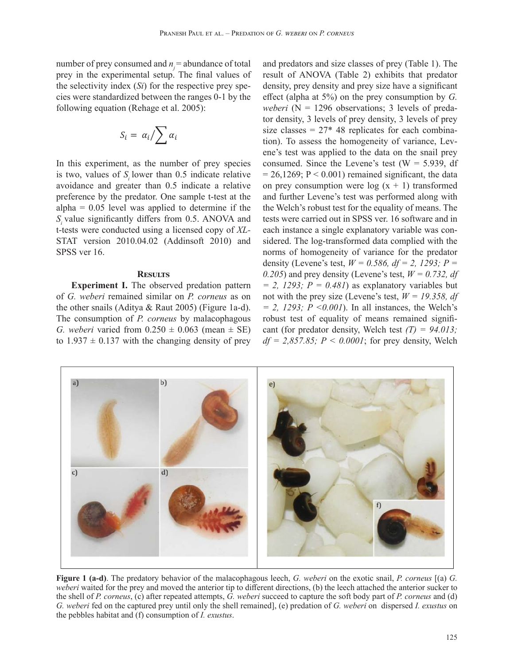number of prey consumed and  $n_i$  = abundance of total prey in the experimental setup. The final values of the selectivity index (*Si*) for the respective prey species were standardized between the ranges 0-1 by the following equation (Rehage et al. 2005):

$$
S_i = \alpha_i / \sum \alpha_i
$$

In this experiment, as the number of prey species is two, values of *Si* lower than 0.5 indicate relative avoidance and greater than 0.5 indicate a relative preference by the predator. One sample t-test at the alpha  $= 0.05$  level was applied to determine if the *Si* value significantly differs from 0.5. ANOVA and t-tests were conducted using a licensed copy of *XL-*STAT version 2010.04.02 (Addinsoft 2010) and SPSS ver 16.

#### **Results**

**Experiment I.** The observed predation pattern of *G. weberi* remained similar on *P. corneus* as on the other snails (Aditya & Raut 2005) (Figure 1a-d). The consumption of *P. corneus* by malacophagous *G. weberi* varied from  $0.250 \pm 0.063$  (mean  $\pm$  SE) to  $1.937 \pm 0.137$  with the changing density of prey and predators and size classes of prey (Table 1). The result of ANOVA (Table 2) exhibits that predator density, prey density and prey size have a significant effect (alpha at 5%) on the prey consumption by *G. weberi* ( $N = 1296$  observations; 3 levels of predator density, 3 levels of prey density, 3 levels of prey size classes =  $27*$  48 replicates for each combination). To assess the homogeneity of variance, Levene's test was applied to the data on the snail prey consumed. Since the Levene's test ( $W = 5.939$ , df  $= 26,1269; P < 0.001$  remained significant, the data on prey consumption were  $log(x + 1)$  transformed and further Levene's test was performed along with the Welch's robust test for the equality of means. The tests were carried out in SPSS ver. 16 software and in each instance a single explanatory variable was considered. The log-transformed data complied with the norms of homogeneity of variance for the predator density (Levene's test, *W = 0.586, df = 2, 1293; P =*  0.205) and prey density (Levene's test,  $W = 0.732$ , *df = 2, 1293; P = 0.481*) as explanatory variables but not with the prey size (Levene's test, *W = 19.358, df = 2, 1293; P <0.001*). In all instances, the Welch's robust test of equality of means remained significant (for predator density, Welch test *(T) = 94.013;*   $df = 2,857.85$ ;  $P \le 0.0001$ ; for prey density, Welch



**Figure 1 (a-d)**. The predatory behavior of the malacophagous leech, *G. weberi* on the exotic snail, *P. corneus* [(a) *G. weberi* waited for the prey and moved the anterior tip to different directions, (b) the leech attached the anterior sucker to the shell of *P. corneus*, (c) after repeated attempts, *G. weberi* succeed to capture the soft body part of *P. corneus* and (d) *G. weberi* fed on the captured prey until only the shell remained], (e) predation of *G. weberi* on dispersed *I. exustus* on the pebbles habitat and (f) consumption of *I. exustus*.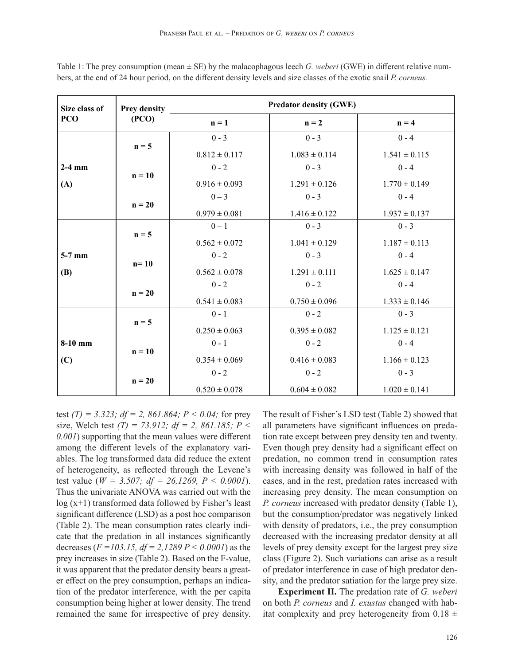| Size class of   | Prey density<br>(PCO) | <b>Predator density (GWE)</b> |                   |                   |  |
|-----------------|-----------------------|-------------------------------|-------------------|-------------------|--|
| PCO             |                       | $n = 1$                       | $n = 2$           | $n = 4$           |  |
|                 | $n = 5$               | $0 - 3$                       | $0 - 3$           | $0 - 4$           |  |
| $2-4$ mm<br>(A) |                       | $0.812 \pm 0.117$             | $1.083 \pm 0.114$ | $1.541 \pm 0.115$ |  |
|                 | $n = 10$              | $0 - 2$                       | $0 - 3$           | $0 - 4$           |  |
|                 |                       | $0.916 \pm 0.093$             | $1.291 \pm 0.126$ | $1.770 \pm 0.149$ |  |
|                 | $n = 20$              | $0 - 3$                       | $0 - 3$           | $0 - 4$           |  |
|                 |                       | $0.979 \pm 0.081$             | $1.416 \pm 0.122$ | $1.937 \pm 0.137$ |  |
|                 | $n = 5$               | $0-1$                         | $0 - 3$           | $0 - 3$           |  |
|                 |                       | $0.562 \pm 0.072$             | $1.041 \pm 0.129$ | $1.187 \pm 0.113$ |  |
| $5-7$ mm        | $n=10$                | $0 - 2$                       | $0 - 3$           | $0 - 4$           |  |
| <b>(B)</b>      |                       | $0.562 \pm 0.078$             | $1.291 \pm 0.111$ | $1.625 \pm 0.147$ |  |
|                 | $n = 20$              | $0 - 2$                       | $0 - 2$           | $0 - 4$           |  |
|                 |                       | $0.541 \pm 0.083$             | $0.750 \pm 0.096$ | $1.333 \pm 0.146$ |  |
|                 | $n = 5$               | $0 - 1$                       | $0 - 2$           | $0 - 3$           |  |
|                 |                       | $0.250 \pm 0.063$             | $0.395 \pm 0.082$ | $1.125 \pm 0.121$ |  |
| $8-10$ mm       | $n = 10$              | $0 - 1$                       | $0 - 2$           | $0 - 4$           |  |
| (C)             |                       | $0.354 \pm 0.069$             | $0.416 \pm 0.083$ | $1.166 \pm 0.123$ |  |
|                 | $n = 20$              | $0 - 2$                       | $0 - 2$           | $0 - 3$           |  |
|                 |                       | $0.520 \pm 0.078$             | $0.604 \pm 0.082$ | $1.020 \pm 0.141$ |  |

Table 1: The prey consumption (mean ± SE) by the malacophagous leech *G. weberi* (GWE) in different relative numbers, at the end of 24 hour period, on the different density levels and size classes of the exotic snail *P. corneus.*

test *(T) = 3.323; df = 2, 861.864; P < 0.04;* for prey size, Welch test *(T) = 73.912; df = 2, 861.185; P < 0.001*) supporting that the mean values were different among the different levels of the explanatory variables. The log transformed data did reduce the extent of heterogeneity, as reflected through the Levene's test value (*W = 3.507; df = 26,1269, P < 0.0001*). Thus the univariate ANOVA was carried out with the log (x+1) transformed data followed by Fisher's least significant difference (LSD) as a post hoc comparison (Table 2). The mean consumption rates clearly indicate that the predation in all instances significantly decreases (*F =103.15, df = 2,1289 P < 0.0001*) as the prey increases in size (Table 2). Based on the F-value, it was apparent that the predator density bears a greater effect on the prey consumption, perhaps an indication of the predator interference, with the per capita consumption being higher at lower density. The trend remained the same for irrespective of prey density. The result of Fisher's LSD test (Table 2) showed that all parameters have significant influences on predation rate except between prey density ten and twenty. Even though prey density had a significant effect on predation, no common trend in consumption rates with increasing density was followed in half of the cases, and in the rest, predation rates increased with increasing prey density. The mean consumption on *P. corneus* increased with predator density (Table 1), but the consumption/predator was negatively linked with density of predators, i.e., the prey consumption decreased with the increasing predator density at all levels of prey density except for the largest prey size class (Figure 2). Such variations can arise as a result of predator interference in case of high predator density, and the predator satiation for the large prey size.

**Experiment II.** The predation rate of *G. weberi* on both *P. corneus* and *I. exustus* changed with habitat complexity and prey heterogeneity from  $0.18 \pm$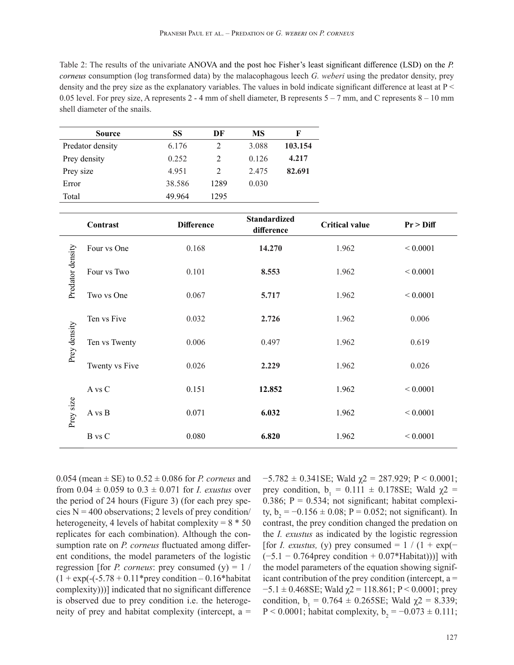Table 2: The results of the univariate ANOVA and the post hoc Fisher's least significant difference (LSD) on the *P. corneus* consumption (log transformed data) by the malacophagous leech *G. weberi* using the predator density, prey density and the prey size as the explanatory variables. The values in bold indicate significant difference at least at P < 0.05 level. For prey size, A represents  $2 - 4$  mm of shell diameter, B represents  $5 - 7$  mm, and C represents  $8 - 10$  mm shell diameter of the snails.

| <b>Source</b>    | SS     | DF                            | MS    | F       |
|------------------|--------|-------------------------------|-------|---------|
| Predator density | 6.176  | $\mathfrak{D}_{\mathfrak{p}}$ | 3.088 | 103.154 |
| Prey density     | 0.252  | $\mathfrak{D}$                |       | 4.217   |
| Prey size        | 4.951  | $\mathcal{L}$                 | 2.475 | 82.691  |
| Error            | 38.586 | 1289                          | 0.030 |         |
| Total            | 49.964 | 1295                          |       |         |

|                  | Contrast       | <b>Difference</b> | <b>Standardized</b><br>difference | <b>Critical value</b> | $Pr$ > Diff  |
|------------------|----------------|-------------------|-----------------------------------|-----------------------|--------------|
| Predator density | Four vs One    | 0.168             | 14.270                            | 1.962                 | ${}< 0.0001$ |
|                  | Four vs Two    | 0.101             | 8.553                             | 1.962                 | ${}< 0.0001$ |
|                  | Two vs One     | 0.067             | 5.717                             | 1.962                 | ${}< 0.0001$ |
| Prey density     | Ten vs Five    | 0.032             | 2.726                             | 1.962                 | 0.006        |
|                  | Ten vs Twenty  | 0.006             | 0.497                             | 1.962                 | 0.619        |
|                  | Twenty vs Five | 0.026             | 2.229                             | 1.962                 | 0.026        |
| Prey size        | A vs C         | 0.151             | 12.852                            | 1.962                 | ${}< 0.0001$ |
|                  | A vs B         | 0.071             | 6.032                             | 1.962                 | ${}< 0.0001$ |
|                  | <b>B</b> vs C  | 0.080             | 6.820                             | 1.962                 | ${}< 0.0001$ |

0.054 (mean  $\pm$  SE) to 0.52  $\pm$  0.086 for *P. corneus* and from  $0.04 \pm 0.059$  to  $0.3 \pm 0.071$  for *I. exustus* over the period of 24 hours (Figure 3) (for each prey species  $N = 400$  observations; 2 levels of prey condition/ heterogeneity, 4 levels of habitat complexity =  $8 * 50$ replicates for each combination). Although the consumption rate on *P. corneus* fluctuated among different conditions, the model parameters of the logistic regression [for *P. corneus*: prey consumed  $(y) = 1$  /  $(1 + \exp(-(5.78 + 0.11*)$  rey condition  $-0.16*$  habitat complexity)))] indicated that no significant difference is observed due to prey condition i.e. the heterogeneity of prey and habitat complexity (intercept,  $a =$   $-5.782 \pm 0.341$ SE; Wald  $\chi$ 2 = 287.929; P < 0.0001; prey condition,  $b_1 = 0.111 \pm 0.178$ SE; Wald  $\chi$ 2 = 0.386;  $P = 0.534$ ; not significant; habitat complexity,  $b_2 = -0.156 \pm 0.08$ ; P = 0.052; not significant). In contrast, the prey condition changed the predation on the *I. exustus* as indicated by the logistic regression [for *I. exustus,* (y) prey consumed =  $1/(1 + \exp(-\frac{1}{2})$  $(-5.1 - 0.764$  prey condition + 0.07\*Habitat)))] with the model parameters of the equation showing significant contribution of the prey condition (intercept,  $a =$  $-5.1 \pm 0.468$ SE; Wald  $\chi$ 2 = 118.861; P < 0.0001; prey condition,  $b_1 = 0.764 \pm 0.265SE$ ; Wald  $\chi$ 2 = 8.339; P < 0.0001; habitat complexity,  $b_2 = -0.073 \pm 0.111$ ;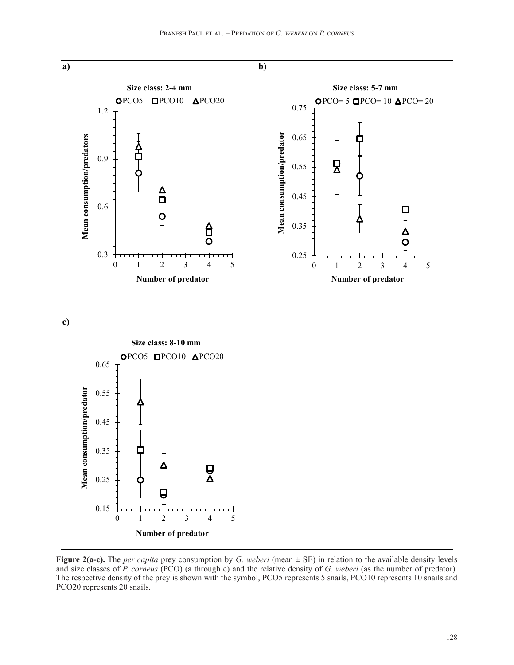

**Figure 2(a-c).** The *per capita* prey consumption by *G. weberi* (mean ± SE) in relation to the available density levels and size classes of *P. corneus* (PCO) (a through c) and the relative density of *G. weberi* (as the number of predator). The respective density of the prey is shown with the symbol, PCO5 represents 5 snails, PCO10 represents 10 snails and PCO20 represents 20 snails.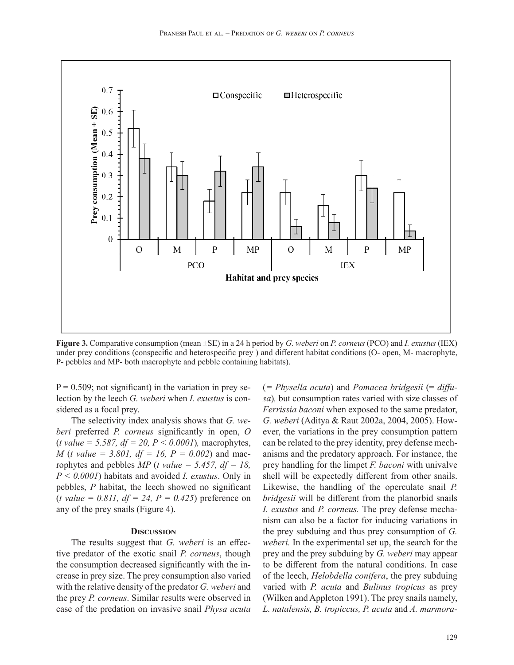

**Figure 3.** Comparative consumption (mean ±SE) in a 24 h period by *G. weberi* on *P. corneus* (PCO) and *I. exustus* (IEX) under prey conditions (conspecific and heterospecific prey ) and different habitat conditions (O- open, M- macrophyte, P- pebbles and MP- both macrophyte and pebble containing habitats).

 $P = 0.509$ ; not significant) in the variation in prey selection by the leech *G. weberi* when *I. exustus* is considered as a focal prey.

The selectivity index analysis shows that *G. weberi* preferred *P. corneus* significantly in open, *O*  (*t value = 5.587, df = 20, P < 0.0001*)*,* macrophytes, *M* (*t value = 3.801, df = 16, P = 0.002*) and macrophytes and pebbles  $MP$  (*t value = 5.457, df = 18, \dimession* 0.43)  $MP$ *P < 0.0001*) habitats and avoided *I. exustus*. Only in pebbles, *P* habitat, the leech showed no significant  $(t \text{ value} = 0.811, df = 24, P = 0.425)$  preference on any of the prey snails (Figure 4).

#### **Discussion**

The results suggest that *G. weberi* is an effective predator of the exotic snail *P. corneus*, though the consumption decreased significantly with the increase in prey size. The prey consumption also varied with the relative density of the predator *G. weberi* and the prey *P. corneus*. Similar results were observed in case of the predation on invasive snail *Physa acuta*  (*= Physella acuta*) and *Pomacea bridgesii* (= *diffusa*)*,* but consumption rates varied with size classes of *Ferrissia baconi* when exposed to the same predator, *G. weberi* (Aditya & Raut 2002a, 2004, 2005). However, the variations in the prey consumption pattern can be related to the prey identity, prey defense mechanisms and the predatory approach. For instance, the prey handling for the limpet *F. baconi* with univalve shell will be expectedly different from other snails. Likewise, the handling of the operculate snail *P. bridgesii* will be different from the planorbid snails *I. exustus* and *P. corneus.* The prey defense mechanism can also be a factor for inducing variations in the prey subduing and thus prey consumption of *G. weberi.* In the experimental set up, the search for the prey and the prey subduing by *G. weberi* may appear to be different from the natural conditions. In case of the leech, *Helobdella conifera*, the prey subduing varied with *P. acuta* and *Bulinus tropicus* as prey (Wilken and Appleton 1991). The prey snails namely, *L. natalensis, B. tropiccus, P. acuta* and *A. marmora-*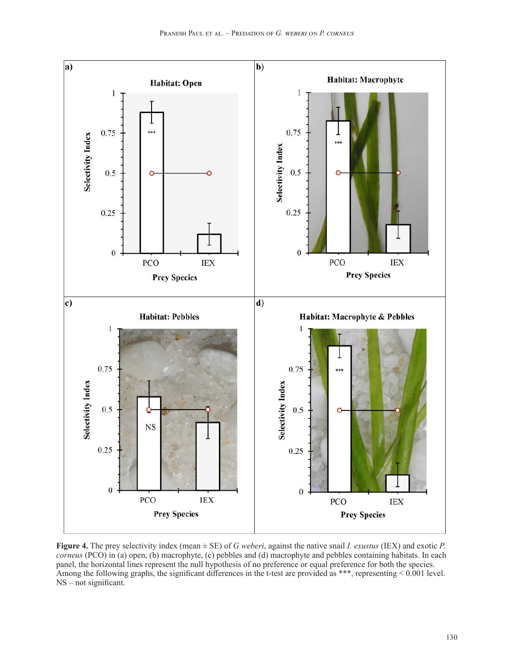

**Figure 4.** The prey selectivity index (mean ± SE) of *G weberi*, against the native snail *I. exustus* (IEX) and exotic *P. corneus* (PCO) in (a) open, (b) macrophyte, (c) pebbles and (d) macrophyte and pebbles containing habitats. In each panel, the horizontal lines represent the null hypothesis of no preference or equal preference for both the species. Among the following graphs, the significant differences in the t-test are provided as \*\*\*, representing < 0.001 level. NS – not significant.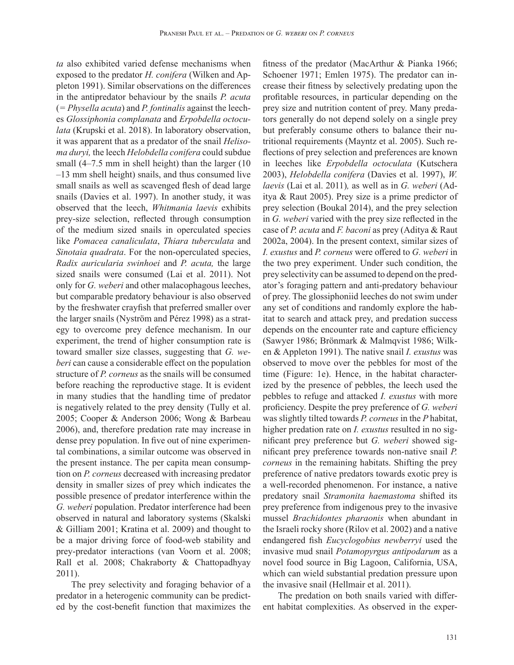*ta* also exhibited varied defense mechanisms when exposed to the predator *H. conifera* (Wilken and Appleton 1991). Similar observations on the differences in the antipredator behaviour by the snails *P. acuta* (*= Physella acuta*) and *P. fontinalis* against the leeches *Glossiphonia complanata* and *Erpobdella octoculata* (Krupski et al. 2018). In laboratory observation, it was apparent that as a predator of the snail *Helisoma duryi,* the leech *Helobdella conifera* could subdue small (4–7.5 mm in shell height) than the larger (10 –13 mm shell height) snails, and thus consumed live small snails as well as scavenged flesh of dead large snails (Davies et al. 1997). In another study, it was observed that the leech, *Whitmania laevis* exhibits prey-size selection, reflected through consumption of the medium sized snails in operculated species like *Pomacea canaliculata*, *Thiara tuberculata* and *Sinotaia quadrata*. For the non-operculated species, *Radix auricularia swinhoei* and *P. acuta,* the large sized snails were consumed (Lai et al. 2011). Not only for *G. weberi* and other malacophagous leeches, but comparable predatory behaviour is also observed by the freshwater crayfish that preferred smaller over the larger snails (Nyström and Pérez 1998) as a strategy to overcome prey defence mechanism. In our experiment, the trend of higher consumption rate is toward smaller size classes, suggesting that *G. weberi* can cause a considerable effect on the population structure of *P. corneus* as the snails will be consumed before reaching the reproductive stage. It is evident in many studies that the handling time of predator is negatively related to the prey density (Tully et al. 2005; Cooper & Anderson 2006; Wong & Barbeau 2006), and, therefore predation rate may increase in dense prey population. In five out of nine experimental combinations, a similar outcome was observed in the present instance. The per capita mean consumption on *P. corneus* decreased with increasing predator density in smaller sizes of prey which indicates the possible presence of predator interference within the *G. weberi* population. Predator interference had been observed in natural and laboratory systems (Skalski & Gilliam 2001; Kratina et al. 2009) and thought to be a major driving force of food-web stability and prey-predator interactions (van Voorn et al. 2008; Rall et al. 2008; Chakraborty & Chattopadhyay 2011).

The prey selectivity and foraging behavior of a predator in a heterogenic community can be predicted by the cost-benefit function that maximizes the fitness of the predator (MacArthur & Pianka 1966; Schoener 1971; Emlen 1975). The predator can increase their fitness by selectively predating upon the profitable resources, in particular depending on the prey size and nutrition content of prey. Many predators generally do not depend solely on a single prey but preferably consume others to balance their nutritional requirements (Mayntz et al. 2005). Such reflections of prey selection and preferences are known in leeches like *Erpobdella octoculata* (Kutschera 2003), *Helobdella conifera* (Davies et al. 1997), *W. laevis* (Lai et al. 2011)*,* as well as in *G. weberi* (Aditya & Raut 2005). Prey size is a prime predictor of prey selection (Boukal 2014), and the prey selection in *G. weberi* varied with the prey size reflected in the case of *P. acuta* and *F. baconi* as prey (Aditya & Raut 2002a, 2004). In the present context, similar sizes of *I. exustus* and *P. corneus* were offered to *G. weberi* in the two prey experiment. Under such condition, the prey selectivity can be assumed to depend on the predator's foraging pattern and anti-predatory behaviour of prey. The glossiphoniid leeches do not swim under any set of conditions and randomly explore the habitat to search and attack prey, and predation success depends on the encounter rate and capture efficiency (Sawyer 1986; Brönmark & Malmqvist 1986; Wilken & Appleton 1991). The native snail *I. exustus* was observed to move over the pebbles for most of the time (Figure: 1e). Hence, in the habitat characterized by the presence of pebbles, the leech used the pebbles to refuge and attacked *I. exustus* with more proficiency. Despite the prey preference of *G. weberi*  was slightly tilted towards *P. corneus* in the *P* habitat, higher predation rate on *I. exustus* resulted in no significant prey preference but *G. weberi* showed significant prey preference towards non-native snail *P. corneus* in the remaining habitats. Shifting the prey preference of native predators towards exotic prey is a well-recorded phenomenon. For instance, a native predatory snail *Stramonita haemastoma* shifted its prey preference from indigenous prey to the invasive mussel *Brachidontes pharaonis* when abundant in the Israeli rocky shore (Rilov et al. 2002) and a native endangered fish *Eucyclogobius newberryi* used the invasive mud snail *Potamopyrgus antipodarum* as a novel food source in Big Lagoon, California, USA, which can wield substantial predation pressure upon the invasive snail (Hellmair et al. 2011).

The predation on both snails varied with different habitat complexities. As observed in the exper-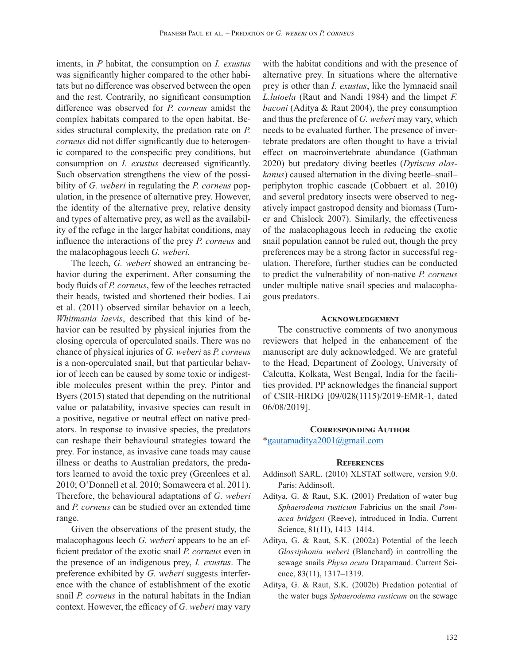iments, in *P* habitat, the consumption on *I. exustus*  was significantly higher compared to the other habitats but no difference was observed between the open and the rest. Contrarily, no significant consumption difference was observed for *P. corneus* amidst the complex habitats compared to the open habitat. Besides structural complexity, the predation rate on *P. corneus* did not differ significantly due to heterogenic compared to the conspecific prey conditions, but consumption on *I. exustus* decreased significantly. Such observation strengthens the view of the possibility of *G. weberi* in regulating the *P. corneus* population, in the presence of alternative prey. However, the identity of the alternative prey, relative density and types of alternative prey, as well as the availability of the refuge in the larger habitat conditions, may influence the interactions of the prey *P. corneus* and the malacophagous leech *G. weberi.* 

The leech, *G. weberi* showed an entrancing behavior during the experiment. After consuming the body fluids of *P. corneus*, few of the leeches retracted their heads, twisted and shortened their bodies. Lai et al. (2011) observed similar behavior on a leech, *Whitmania laevis*, described that this kind of behavior can be resulted by physical injuries from the closing opercula of operculated snails. There was no chance of physical injuries of *G. weberi* as *P. corneus*  is a non-operculated snail, but that particular behavior of leech can be caused by some toxic or indigestible molecules present within the prey. Pintor and Byers (2015) stated that depending on the nutritional value or palatability, invasive species can result in a positive, negative or neutral effect on native predators. In response to invasive species, the predators can reshape their behavioural strategies toward the prey. For instance, as invasive cane toads may cause illness or deaths to Australian predators, the predators learned to avoid the toxic prey (Greenlees et al. 2010; O'Donnell et al. 2010; Somaweera et al. 2011). Therefore, the behavioural adaptations of *G. weberi*  and *P. corneus* can be studied over an extended time range.

Given the observations of the present study, the malacophagous leech *G. weberi* appears to be an efficient predator of the exotic snail *P. corneus* even in the presence of an indigenous prey, *I. exustus*. The preference exhibited by *G. weberi* suggests interference with the chance of establishment of the exotic snail *P. corneus* in the natural habitats in the Indian context. However, the efficacy of *G. weberi* may vary with the habitat conditions and with the presence of alternative prey. In situations where the alternative prey is other than *I. exustus*, like the lymnaeid snail *L.lutoela* (Raut and Nandi 1984) and the limpet *F. baconi* (Aditya & Raut 2004), the prey consumption and thus the preference of *G. weberi* may vary, which needs to be evaluated further. The presence of invertebrate predators are often thought to have a trivial effect on macroinvertebrate abundance (Gathman 2020) but predatory diving beetles (*Dytiscus alaskanus*) caused alternation in the diving beetle–snail– periphyton trophic cascade (Cobbaert et al. 2010) and several predatory insects were observed to negatively impact gastropod density and biomass (Turner and Chislock 2007). Similarly, the effectiveness of the malacophagous leech in reducing the exotic snail population cannot be ruled out, though the prey preferences may be a strong factor in successful regulation. Therefore, further studies can be conducted to predict the vulnerability of non-native *P. corneus*  under multiple native snail species and malacophagous predators.

## **Acknowledgement**

The constructive comments of two anonymous reviewers that helped in the enhancement of the manuscript are duly acknowledged. We are grateful to the Head, Department of Zoology, University of Calcutta, Kolkata, West Bengal, India for the facilities provided. PP acknowledges the financial support of CSIR-HRDG [09/028(1115)/2019-EMR-1, dated 06/08/2019].

# **Corresponding Author** \*gautamaditya2001@gmail.com

#### **References**

- Addinsoft SARL. (2010) XLSTAT softwere, version 9.0. Paris: Addinsoft.
- Aditya, G. & Raut, S.K. (2001) Predation of water bug *Sphaerodema rusticum* Fabricius on the snail *Pomacea bridgesi* (Reeve), introduced in India. Current Science, 81(11), 1413–1414.
- Aditya, G. & Raut, S.K. (2002a) Potential of the leech *Glossiphonia weberi* (Blanchard) in controlling the sewage snails *Physa acuta* Draparnaud. Current Science, 83(11), 1317–1319.
- Aditya, G. & Raut, S.K. (2002b) Predation potential of the water bugs *Sphaerodema rusticum* on the sewage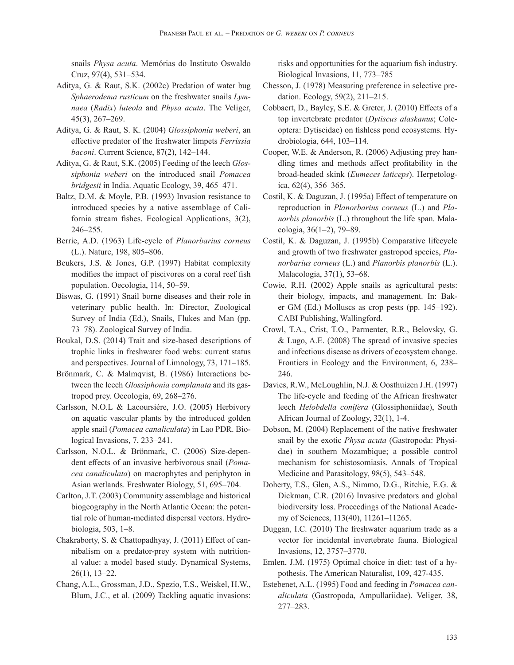snails *Physa acuta*. Memórias do Instituto Oswaldo Cruz, 97(4), 531–534.

- Aditya, G. & Raut, S.K. (2002c) Predation of water bug *Sphaerodema rusticum* on the freshwater snails *Lymnaea* (*Radix*) *luteola* and *Physa acuta*. The Veliger, 45(3), 267–269.
- Aditya, G. & Raut, S. K. (2004) *Glossiphonia weberi*, an effective predator of the freshwater limpets *Ferrissia baconi*. Current Science, 87(2), 142–144.
- Aditya, G. & Raut, S.K. (2005) Feeding of the leech *Glossiphonia weberi* on the introduced snail *Pomacea bridgesii* in India. Aquatic Ecology, 39, 465–471.
- Baltz, D.M. & Moyle, P.B. (1993) Invasion resistance to introduced species by a native assemblage of California stream fishes. Ecological Applications, 3(2), 246–255.
- Berrie, A.D. (1963) Life-cycle of *Planorbarius corneus* (L.). Nature, 198, 805–806.
- Beukers, J.S. & Jones, G.P. (1997) Habitat complexity modifies the impact of piscivores on a coral reef fish population. Oecologia, 114, 50–59.
- Biswas, G. (1991) Snail borne diseases and their role in veterinary public health. In: Director, Zoological Survey of India (Ed.), Snails, Flukes and Man (pp. 73–78). Zoological Survey of India.
- Boukal, D.S. (2014) Trait and size-based descriptions of trophic links in freshwater food webs: current status and perspectives. Journal of Limnology, 73, 171–185.
- Brönmark, C. & Malmqvist, B. (1986) Interactions between the leech *Glossiphonia complanata* and its gastropod prey. Oecologia, 69, 268–276.
- Carlsson, N.O.L & Lacoursiére, J.O. (2005) Herbivory on aquatic vascular plants by the introduced golden apple snail (*Pomacea canaliculata*) in Lao PDR. Biological Invasions, 7, 233–241.
- Carlsson, N.O.L. & Brönmark, C. (2006) Size-dependent effects of an invasive herbivorous snail (*Pomacea canaliculata*) on macrophytes and periphyton in Asian wetlands. Freshwater Biology, 51, 695–704.
- Carlton, J.T. (2003) Community assemblage and historical biogeography in the North Atlantic Ocean: the potential role of human-mediated dispersal vectors. Hydrobiologia, 503, 1–8.
- Chakraborty, S. & Chattopadhyay, J. (2011) Effect of cannibalism on a predator-prey system with nutritional value: a model based study. Dynamical Systems, 26(1), 13–22.
- Chang, A.L., Grossman, J.D., Spezio, T.S., Weiskel, H.W., Blum, J.C., et al. (2009) Tackling aquatic invasions:

risks and opportunities for the aquarium fish industry. Biological Invasions, 11, 773–785

- Chesson, J. (1978) Measuring preference in selective predation. Ecology, 59(2), 211–215.
- Cobbaert, D., Bayley, S.E. & Greter, J. (2010) Effects of a top invertebrate predator (*Dytiscus alaskanus*; Coleoptera: Dytiscidae) on fishless pond ecosystems. Hydrobiologia, 644, 103–114.
- Cooper, W.E. & Anderson, R. (2006) Adjusting prey handling times and methods affect profitability in the broad-headed skink (*Eumeces laticeps*). Herpetologica, 62(4), 356–365.
- Costil, K. & Daguzan, J. (1995a) Effect of temperature on reproduction in *Planorbarius corneus* (L.) and *Planorbis planorbis* (L.) throughout the life span. Malacologia, 36(1–2), 79–89.
- Costil, K. & Daguzan, J. (1995b) Comparative lifecycle and growth of two freshwater gastropod species, *Planorbarius corneus* (L.) and *Planorbis planorbis* (L.). Malacologia, 37(1), 53–68.
- Cowie, R.H. (2002) Apple snails as agricultural pests: their biology, impacts, and management. In: Baker GM (Ed.) Molluscs as crop pests (pp. 145–192). CABI Publishing, Wallingford.
- Crowl, T.A., Crist, T.O., Parmenter, R.R., Belovsky, G. & Lugo, A.E. (2008) The spread of invasive species and infectious disease as drivers of ecosystem change. Frontiers in Ecology and the Environment, 6, 238– 246.
- Davies, R.W., McLoughlin, N.J. & Oosthuizen J.H. (1997) The life-cycle and feeding of the African freshwater leech *Helobdella conifera* (Glossiphoniidae), South African Journal of Zoology, 32(1), 1-4.
- Dobson, M. (2004) Replacement of the native freshwater snail by the exotic *Physa acuta* (Gastropoda: Physidae) in southern Mozambique; a possible control mechanism for schistosomiasis. Annals of Tropical Medicine and Parasitology, 98(5), 543–548.
- Doherty, T.S., Glen, A.S., Nimmo, D.G., Ritchie, E.G. & Dickman, C.R. (2016) Invasive predators and global biodiversity loss. Proceedings of the National Academy of Sciences, 113(40), 11261–11265.
- Duggan, I.C. (2010) The freshwater aquarium trade as a vector for incidental invertebrate fauna. Biological Invasions, 12, 3757–3770.
- Emlen, J.M. (1975) Optimal choice in diet: test of a hypothesis. The American Naturalist, 109, 427-435.
- Estebenet, A.L. (1995) Food and feeding in *Pomacea canaliculata* (Gastropoda, Ampullariidae). Veliger, 38, 277–283.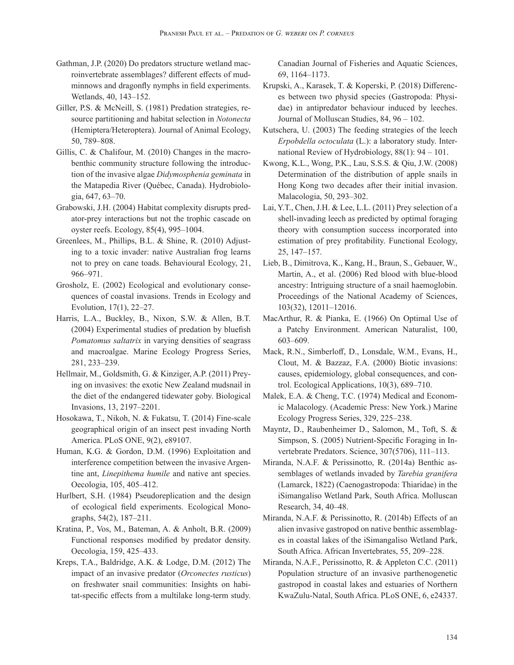- Gathman, J.P. (2020) Do predators structure wetland macroinvertebrate assemblages? different effects of mudminnows and dragonfly nymphs in field experiments. Wetlands, 40, 143–152.
- Giller, P.S. & McNeill, S. (1981) Predation strategies, resource partitioning and habitat selection in *Notonecta* (Hemiptera/Heteroptera). Journal of Animal Ecology, 50, 789–808.
- Gillis, C. & Chalifour, M. (2010) Changes in the macrobenthic community structure following the introduction of the invasive algae *Didymosphenia geminata* in the Matapedia River (Québec, Canada). Hydrobiologia, 647, 63–70.
- Grabowski, J.H. (2004) Habitat complexity disrupts predator-prey interactions but not the trophic cascade on oyster reefs. Ecology, 85(4), 995–1004.
- Greenlees, M., Phillips, B.L. & Shine, R. (2010) Adjusting to a toxic invader: native Australian frog learns not to prey on cane toads. Behavioural Ecology, 21, 966–971.
- Grosholz, E. (2002) Ecological and evolutionary consequences of coastal invasions. Trends in Ecology and Evolution, 17(1), 22–27.
- Harris, L.A., Buckley, B., Nixon, S.W. & Allen, B.T. (2004) Experimental studies of predation by bluefish *Pomatomus saltatrix* in varying densities of seagrass and macroalgae. Marine Ecology Progress Series, 281, 233–239.
- Hellmair, M., Goldsmith, G. & Kinziger, A.P. (2011) Preying on invasives: the exotic New Zealand mudsnail in the diet of the endangered tidewater goby. Biological Invasions, 13, 2197–2201.
- Hosokawa, T., Nikoh, N. & Fukatsu, T. (2014) Fine-scale geographical origin of an insect pest invading North America. PLoS ONE, 9(2), e89107.
- Human, K.G. & Gordon, D.M. (1996) Exploitation and interference competition between the invasive Argentine ant, *Linepithema humile* and native ant species. Oecologia, 105, 405–412.
- Hurlbert, S.H. (1984) Pseudoreplication and the design of ecological field experiments. Ecological Monographs, 54(2), 187–211.
- Kratina, P., Vos, M., Bateman, A. & Anholt, B.R. (2009) Functional responses modified by predator density. Oecologia, 159, 425–433.
- Kreps, T.A., Baldridge, A.K. & Lodge, D.M. (2012) The impact of an invasive predator (*Orconectes rusticus*) on freshwater snail communities: Insights on habitat-specific effects from a multilake long-term study.

Canadian Journal of Fisheries and Aquatic Sciences, 69, 1164–1173.

- Krupski, A., Karasek, T. & Koperski, P. (2018) Differences between two physid species (Gastropoda: Physidae) in antipredator behaviour induced by leeches. Journal of Molluscan Studies, 84, 96 – 102.
- Kutschera, U. (2003) The feeding strategies of the leech *Erpobdella octoculata* (L.): a laboratory study. International Review of Hydrobiology, 88(1): 94 – 101.
- Kwong, K.L., Wong, P.K., Lau, S.S.S. & Qiu, J.W. (2008) Determination of the distribution of apple snails in Hong Kong two decades after their initial invasion. Malacologia, 50, 293–302.
- Lai, Y.T., Chen, J.H. & Lee, L.L. (2011) Prey selection of a shell-invading leech as predicted by optimal foraging theory with consumption success incorporated into estimation of prey profitability. Functional Ecology, 25, 147–157.
- Lieb, B., Dimitrova, K., Kang, H., Braun, S., Gebauer, W., Martin, A., et al. (2006) Red blood with blue-blood ancestry: Intriguing structure of a snail haemoglobin. Proceedings of the National Academy of Sciences, 103(32), 12011–12016.
- MacArthur, R. & Pianka, E. (1966) On Optimal Use of a Patchy Environment. American Naturalist, 100, 603–609.
- Mack, R.N., Simberloff, D., Lonsdale, W.M., Evans, H., Clout, M. & Bazzaz, F.A. (2000) Biotic invasions: causes, epidemiology, global consequences, and control. Ecological Applications, 10(3), 689–710.
- Malek, E.A. & Cheng, T.C. (1974) Medical and Economic Malacology. (Academic Press: New York.) Marine Ecology Progress Series, 329, 225–238.
- Mayntz, D., Raubenheimer D., Salomon, M., Toft, S. & Simpson, S. (2005) Nutrient-Specific Foraging in Invertebrate Predators. Science, 307(5706), 111–113.
- Miranda, N.A.F. & Perissinotto, R. (2014a) Benthic assemblages of wetlands invaded by *Tarebia granifera* (Lamarck, 1822) (Caenogastropoda: Thiaridae) in the iSimangaliso Wetland Park, South Africa. Molluscan Research, 34, 40–48.
- Miranda, N.A.F. & Perissinotto, R. (2014b) Effects of an alien invasive gastropod on native benthic assemblages in coastal lakes of the iSimangaliso Wetland Park, South Africa. African Invertebrates, 55, 209–228.
- Miranda, N.A.F., Perissinotto, R. & Appleton C.C. (2011) Population structure of an invasive parthenogenetic gastropod in coastal lakes and estuaries of Northern KwaZulu-Natal, South Africa. PLoS ONE, 6, e24337.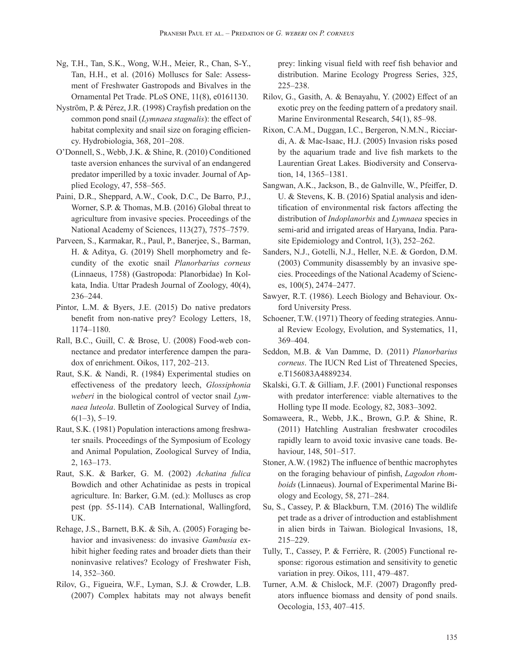- Ng, T.H., Tan, S.K., Wong, W.H., Meier, R., Chan, S-Y., Tan, H.H., et al. (2016) Molluscs for Sale: Assessment of Freshwater Gastropods and Bivalves in the Ornamental Pet Trade. PLoS ONE, 11(8), e0161130.
- Nyström, P. & Pérez, J.R. (1998) Crayfish predation on the common pond snail (*Lymnaea stagnalis*): the effect of habitat complexity and snail size on foraging efficiency. Hydrobiologia, 368, 201–208.
- O'Donnell, S., Webb, J.K. & Shine, R. (2010) Conditioned taste aversion enhances the survival of an endangered predator imperilled by a toxic invader. Journal of Applied Ecology, 47, 558–565.
- Paini, D.R., Sheppard, A.W., Cook, D.C., De Barro, P.J., Worner, S.P. & Thomas, M.B. (2016) Global threat to agriculture from invasive species. Proceedings of the National Academy of Sciences, 113(27), 7575–7579.
- Parveen, S., Karmakar, R., Paul, P., Banerjee, S., Barman, H. & Aditya, G. (2019) Shell morphometry and fecundity of the exotic snail *Planorbarius corneus* (Linnaeus, 1758) (Gastropoda: Planorbidae) In Kolkata, India. Uttar Pradesh Journal of Zoology, 40(4), 236–244.
- Pintor, L.M. & Byers, J.E. (2015) Do native predators benefit from non-native prey? Ecology Letters, 18, 1174–1180.
- Rall, B.C., Guill, C. & Brose, U. (2008) Food-web connectance and predator interference dampen the paradox of enrichment. Oikos, 117, 202–213.
- Raut, S.K. & Nandi, R. (1984) Experimental studies on effectiveness of the predatory leech, *Glossiphonia weberi* in the biological control of vector snail *Lymnaea luteola*. Bulletin of Zoological Survey of India,  $6(1-3)$ , 5-19.
- Raut, S.K. (1981) Population interactions among freshwater snails. Proceedings of the Symposium of Ecology and Animal Population, Zoological Survey of India, 2, 163–173.
- Raut, S.K. & Barker, G. M. (2002) *Achatina fulica* Bowdich and other Achatinidae as pests in tropical agriculture. In: Barker, G.M. (ed.): Molluscs as crop pest (pp. 55-114). CAB International, Wallingford, UK.
- Rehage, J.S., Barnett, B.K. & Sih, A. (2005) Foraging behavior and invasiveness: do invasive *Gambusia* exhibit higher feeding rates and broader diets than their noninvasive relatives? Ecology of Freshwater Fish, 14, 352–360.
- Rilov, G., Figueira, W.F., Lyman, S.J. & Crowder, L.B. (2007) Complex habitats may not always benefit

prey: linking visual field with reef fish behavior and distribution. Marine Ecology Progress Series, 325, 225–238.

- Rilov, G., Gasith, A. & Benayahu, Y. (2002) Effect of an exotic prey on the feeding pattern of a predatory snail. Marine Environmental Research, 54(1), 85–98.
- Rixon, C.A.M., Duggan, I.C., Bergeron, N.M.N., Ricciardi, A. & Mac-Isaac, H.J. (2005) Invasion risks posed by the aquarium trade and live fish markets to the Laurentian Great Lakes. Biodiversity and Conservation, 14, 1365–1381.
- Sangwan, A.K., Jackson, B., de Galnville, W., Pfeiffer, D. U. & Stevens, K. B. (2016) Spatial analysis and identification of environmental risk factors affecting the distribution of *Indoplanorbis* and *Lymnaea* species in semi-arid and irrigated areas of Haryana, India. Parasite Epidemiology and Control, 1(3), 252–262.
- Sanders, N.J., Gotelli, N.J., Heller, N.E. & Gordon, D.M. (2003) Community disassembly by an invasive species. Proceedings of the National Academy of Sciences, 100(5), 2474–2477.
- Sawyer, R.T. (1986). Leech Biology and Behaviour. Oxford University Press.
- Schoener, T.W. (1971) Theory of feeding strategies. Annual Review Ecology, Evolution, and Systematics, 11, 369–404.
- Seddon, M.B. & Van Damme, D. (2011) *Planorbarius corneus*. The IUCN Red List of Threatened Species, e.T156083A4889234.
- Skalski, G.T. & Gilliam, J.F. (2001) Functional responses with predator interference: viable alternatives to the Holling type II mode. Ecology, 82, 3083–3092.
- Somaweera, R., Webb, J.K., Brown, G.P. & Shine, R. (2011) Hatchling Australian freshwater crocodiles rapidly learn to avoid toxic invasive cane toads. Behaviour, 148, 501–517.
- Stoner, A.W. (1982) The influence of benthic macrophytes on the foraging behaviour of pinfish, *Lagodon rhomboids* (Linnaeus). Journal of Experimental Marine Biology and Ecology, 58, 271–284.
- Su, S., Cassey, P. & Blackburn, T.M. (2016) The wildlife pet trade as a driver of introduction and establishment in alien birds in Taiwan. Biological Invasions, 18, 215–229.
- Tully, T., Cassey, P. & Ferrière, R. (2005) Functional response: rigorous estimation and sensitivity to genetic variation in prey. Oikos, 111, 479–487.
- Turner, A.M. & Chislock, M.F. (2007) Dragonfly predators influence biomass and density of pond snails. Oecologia, 153, 407–415.